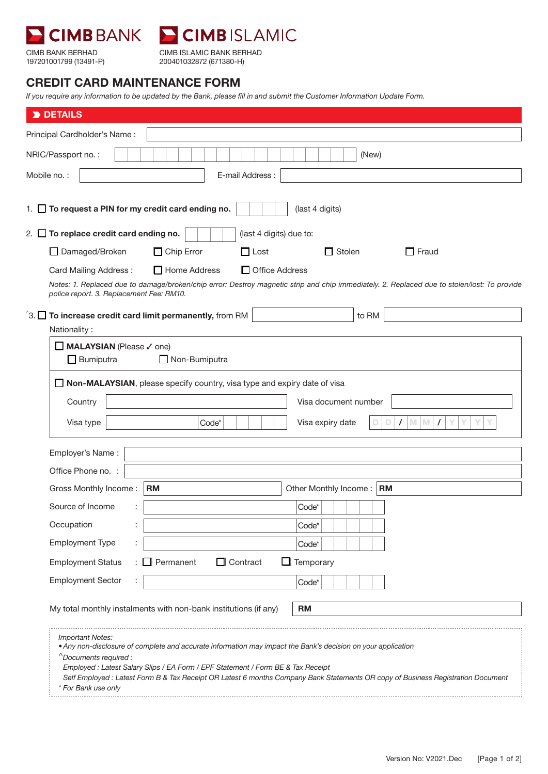



CIMB BANK BERHAD 197201001799 (13491-P) CIMB ISLAMIC BANK BERHAD 200401032872 (671380-H)

## CREDIT CARD MAINTENANCE FORM

*If you require any information to be updated by the Bank, please fill in and submit the Customer Information Update Form.* 

| DETAILS                                                                                                                                                 |                               |  |
|---------------------------------------------------------------------------------------------------------------------------------------------------------|-------------------------------|--|
| Principal Cardholder's Name:                                                                                                                            |                               |  |
| NRIC/Passport no.:                                                                                                                                      | (New)                         |  |
| Mobile no.:<br>E-mail Address:                                                                                                                          |                               |  |
|                                                                                                                                                         |                               |  |
| 1. $\Box$ To request a PIN for my credit card ending no.                                                                                                | (last 4 digits)               |  |
| 2. $\Box$ To replace credit card ending no.<br>(last 4 digits) due to:                                                                                  |                               |  |
| $\Box$ Chip Error<br>$\Box$ Lost<br>Damaged/Broken                                                                                                      | $\Box$ Stolen<br>$\Box$ Fraud |  |
| $\Box$ Home Address<br>$\Box$ Office Address<br>Card Mailing Address:                                                                                   |                               |  |
| Notes: 1. Replaced due to damage/broken/chip error: Destroy magnetic strip and chip immediately. 2. Replaced due to stolen/lost: To provide             |                               |  |
| police report. 3. Replacement Fee: RM10.                                                                                                                |                               |  |
| $\hat{a}$ 3. $\Box$ To increase credit card limit permanently, from RM                                                                                  | to RM                         |  |
| Nationality:                                                                                                                                            |                               |  |
| MALAYSIAN (Please / one)<br>$\Box$ Bumiputra<br>$\Box$ Non-Bumiputra                                                                                    |                               |  |
|                                                                                                                                                         |                               |  |
| Non-MALAYSIAN, please specify country, visa type and expiry date of visa                                                                                |                               |  |
| Country                                                                                                                                                 | Visa document number          |  |
| Visa type<br>Code*                                                                                                                                      | M<br>M<br>Visa expiry date    |  |
| Employer's Name:                                                                                                                                        |                               |  |
| Office Phone no. :                                                                                                                                      |                               |  |
| <b>RM</b><br>Gross Monthly Income:                                                                                                                      | Other Monthly Income:   RM    |  |
| Source of Income                                                                                                                                        | Code*                         |  |
| Occupation                                                                                                                                              | Code*                         |  |
| <b>Employment Type</b>                                                                                                                                  | Code*                         |  |
| $\Box$ Contract<br><b>Employment Status</b><br>Permanent<br>Temporary                                                                                   |                               |  |
| <b>Employment Sector</b>                                                                                                                                | Code*                         |  |
|                                                                                                                                                         |                               |  |
| My total monthly instalments with non-bank institutions (if any)                                                                                        | <b>RM</b>                     |  |
| <b>Important Notes:</b>                                                                                                                                 |                               |  |
| • Any non-disclosure of complete and accurate information may impact the Bank's decision on your application<br>^Documents required :                   |                               |  |
| Employed : Latest Salary Slips / EA Form / EPF Statement / Form BE & Tax Receipt                                                                        |                               |  |
| Self Employed : Latest Form B & Tax Receipt OR Latest 6 months Company Bank Statements OR copy of Business Registration Document<br>* For Bank use only |                               |  |
|                                                                                                                                                         |                               |  |